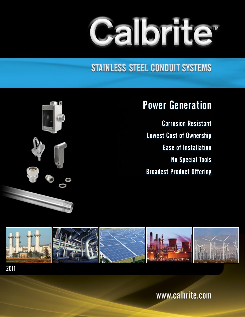# **Calbrite**

### STAINLESS STEEL CONDUIT SYSTEMS



Corrosion Resistant Lowest Cost of Ownership Ease of Installation No Special Tools Broadest Product Offering





2011

www.calbrite.com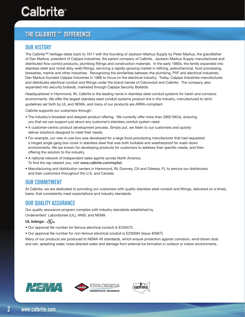## Calbrite

#### **THE CALBRITE™ DIFFERENCE**

#### **OUR HISTORY**

The Calbrite™ heritage dates back to 1917 with the founding of Jackson-Markus Supply by Peter Markus, the grandfather of Dan Markus, president of Calpipe Industries, the parent company of Calbrite. Jackson-Markus Supply manufactured and distributed flow control products, plumbing fittings and construction materials. In the early 1960s, the family expanded into stainless steel and nickel alloy weld fittings, servicing a rapidly-growing market in refining, petrochemical, food processing, breweries, marine and other industries. Recognizing the similarities between the plumbing, PVF and electrical industries, Dan Markus founded Calpipe Industries in 1986 to focus on the electrical industry. Today, Calpipe Industries manufactures and distributes electrical conduit and fittings under the brand names of Calconduit and Calbrite. The company also expanded into security bollards, marketed through Calpipe Security Bollards.

Headquartered in Hammond, IN, Calbrite is the leading name in stainless steel conduit systems for harsh and corrosive environments. We offer the largest stainless steel conduit systems product line in the industry, manufactured to strict guidelines set forth by UL and NEMA, and many of our products are ARRA-compliant.

Calbrite supports our customers through:

- The industry's broadest and deepest product offering. We currently offer more than 2800 SKUs, ensuring you that we can support just about any customer's stainless conduit system need.
- A customer-centric product development process. Simply put, we listen to our customers and quickly deliver solutions designed to meet their needs.
- For example, our new in-use box was developed for a large food-processing manufacturer that had requested a hinged single gang box cover in stainless steel that was both lockable and weatherproof for wash-down environments. We are known for developing products for customers to address their specific needs, and then offering the solution to the industry.
- A national network of independent sales agents across North America. To find the rep nearest you, visit www.calbrite.com/replist.
- Manufacturing and distribution centers in Hammond, IN; Downey, CA and Odessa, FL to service our distributors and their customers throughout the U.S. and Canada.

#### OUR COMMITMENT

At Calbrite, we are dedicated to providing our customers with quality stainless steel conduit and fittings, delivered on a timely basis, that consistently meet expectations and industry standards.

#### OUR QUALITY ASSURANCE

Our quality assurance program complies with industry standards established by Underwriters' Laboratories (UL), ANSI, and NEMA.

#### UL listings:  $c(\Psi_L)_{\text{us}}$

- Our approval file number for ferrous electrical conduit is E226472.
- Our approval file number for non-ferrous electrical conduit is E230584 (issue #26KT)

Many of our products are produced to NEMA 4X standards, which ensure protection against corrosion, wind-blown dust and rain, splashing water, hose-directed water and damage from external ice formation in outdoor or indoor environments.







 $\overline{\mathfrak{p}}$